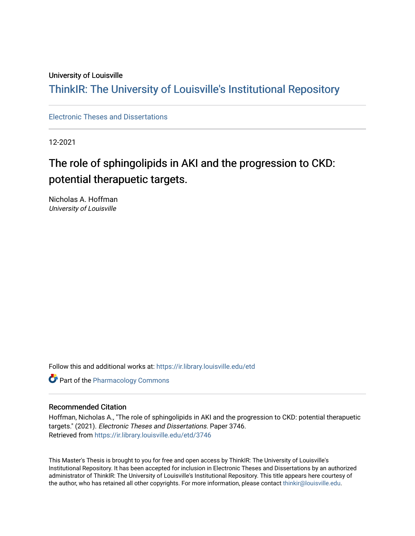#### University of Louisville

## ThinkIR: The Univ[ersity of Louisville's Institutional Reposit](https://ir.library.louisville.edu/)ory

[Electronic Theses and Dissertations](https://ir.library.louisville.edu/etd)

12-2021

# The role of sphingolipids in AKI and the progression to CKD: potential therapuetic targets.

Nicholas A. Hoffman University of Louisville

Follow this and additional works at: [https://ir.library.louisville.edu/etd](https://ir.library.louisville.edu/etd?utm_source=ir.library.louisville.edu%2Fetd%2F3746&utm_medium=PDF&utm_campaign=PDFCoverPages) 

**Part of the Pharmacology Commons** 

#### Recommended Citation

Hoffman, Nicholas A., "The role of sphingolipids in AKI and the progression to CKD: potential therapuetic targets." (2021). Electronic Theses and Dissertations. Paper 3746. Retrieved from [https://ir.library.louisville.edu/etd/3746](https://ir.library.louisville.edu/etd/3746?utm_source=ir.library.louisville.edu%2Fetd%2F3746&utm_medium=PDF&utm_campaign=PDFCoverPages) 

This Master's Thesis is brought to you for free and open access by ThinkIR: The University of Louisville's Institutional Repository. It has been accepted for inclusion in Electronic Theses and Dissertations by an authorized administrator of ThinkIR: The University of Louisville's Institutional Repository. This title appears here courtesy of the author, who has retained all other copyrights. For more information, please contact [thinkir@louisville.edu.](mailto:thinkir@louisville.edu)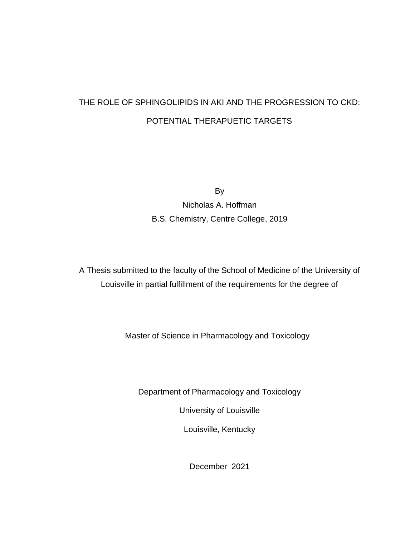# THE ROLE OF SPHINGOLIPIDS IN AKI AND THE PROGRESSION TO CKD: POTENTIAL THERAPUETIC TARGETS

By

Nicholas A. Hoffman B.S. Chemistry, Centre College, 2019

A Thesis submitted to the faculty of the School of Medicine of the University of Louisville in partial fulfillment of the requirements for the degree of

Master of Science in Pharmacology and Toxicology

Department of Pharmacology and Toxicology

University of Louisville

Louisville, Kentucky

December 2021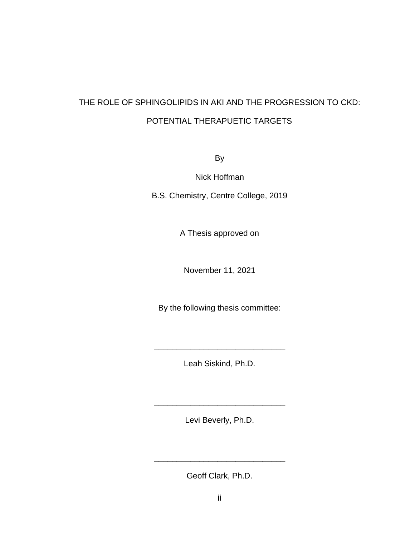# THE ROLE OF SPHINGOLIPIDS IN AKI AND THE PROGRESSION TO CKD: POTENTIAL THERAPUETIC TARGETS

By

Nick Hoffman

B.S. Chemistry, Centre College, 2019

A Thesis approved on

November 11, 2021

By the following thesis committee:

Leah Siskind, Ph.D.

\_\_\_\_\_\_\_\_\_\_\_\_\_\_\_\_\_\_\_\_\_\_\_\_\_\_\_\_\_

Levi Beverly, Ph.D.

\_\_\_\_\_\_\_\_\_\_\_\_\_\_\_\_\_\_\_\_\_\_\_\_\_\_\_\_\_

Geoff Clark, Ph.D.

\_\_\_\_\_\_\_\_\_\_\_\_\_\_\_\_\_\_\_\_\_\_\_\_\_\_\_\_\_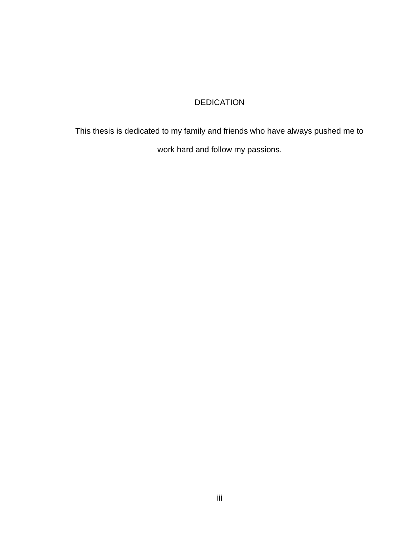## DEDICATION

This thesis is dedicated to my family and friends who have always pushed me to work hard and follow my passions.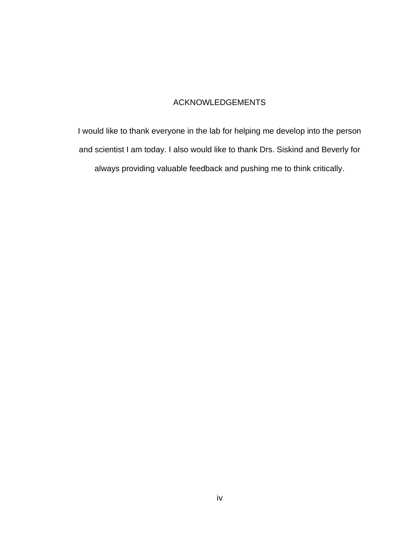## ACKNOWLEDGEMENTS

I would like to thank everyone in the lab for helping me develop into the person and scientist I am today. I also would like to thank Drs. Siskind and Beverly for always providing valuable feedback and pushing me to think critically.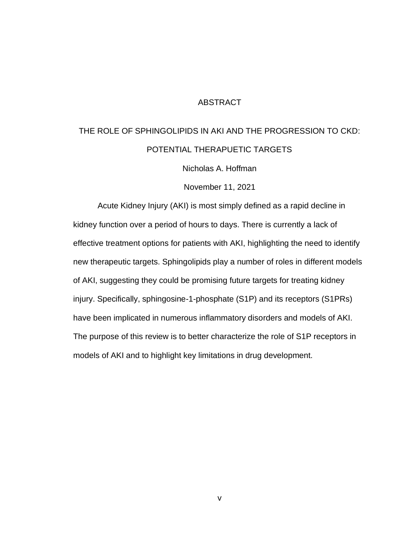#### **ABSTRACT**

# THE ROLE OF SPHINGOLIPIDS IN AKI AND THE PROGRESSION TO CKD: POTENTIAL THERAPUETIC TARGETS

Nicholas A. Hoffman

November 11, 2021

Acute Kidney Injury (AKI) is most simply defined as a rapid decline in kidney function over a period of hours to days. There is currently a lack of effective treatment options for patients with AKI, highlighting the need to identify new therapeutic targets. Sphingolipids play a number of roles in different models of AKI, suggesting they could be promising future targets for treating kidney injury. Specifically, sphingosine-1-phosphate (S1P) and its receptors (S1PRs) have been implicated in numerous inflammatory disorders and models of AKI. The purpose of this review is to better characterize the role of S1P receptors in models of AKI and to highlight key limitations in drug development.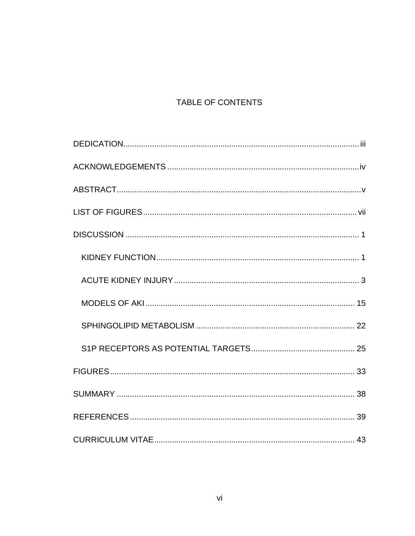## TABLE OF CONTENTS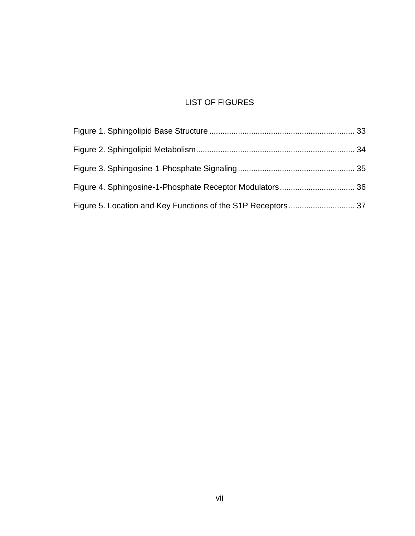## LIST OF FIGURES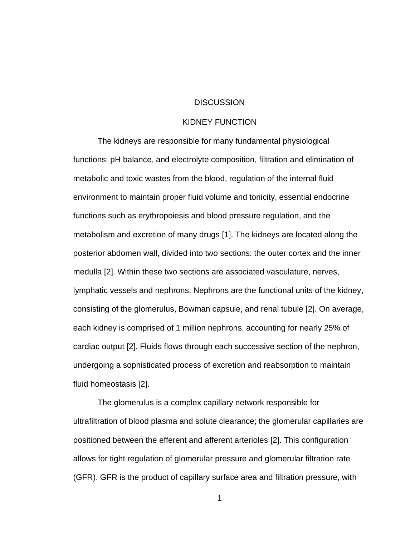#### **DISCUSSION**

#### KIDNEY FUNCTION

The kidneys are responsible for many fundamental physiological functions: pH balance, and electrolyte composition, filtration and elimination of metabolic and toxic wastes from the blood, regulation of the internal fluid environment to maintain proper fluid volume and tonicity, essential endocrine functions such as erythropoiesis and blood pressure regulation, and the metabolism and excretion of many drugs [1]. The kidneys are located along the posterior abdomen wall, divided into two sections: the outer cortex and the inner medulla [2]. Within these two sections are associated vasculature, nerves, lymphatic vessels and nephrons. Nephrons are the functional units of the kidney, consisting of the glomerulus, Bowman capsule, and renal tubule [2]. On average, each kidney is comprised of 1 million nephrons, accounting for nearly 25% of cardiac output [2]. Fluids flows through each successive section of the nephron, undergoing a sophisticated process of excretion and reabsorption to maintain fluid homeostasis [2].

The glomerulus is a complex capillary network responsible for ultrafiltration of blood plasma and solute clearance; the glomerular capillaries are positioned between the efferent and afferent arterioles [2]. This configuration allows for tight regulation of glomerular pressure and glomerular filtration rate (GFR). GFR is the product of capillary surface area and filtration pressure, with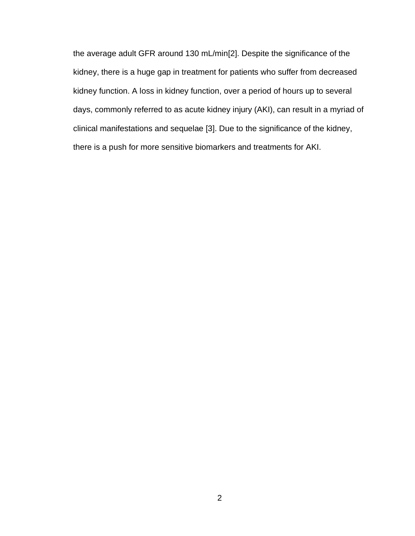the average adult GFR around 130 mL/min[2]. Despite the significance of the kidney, there is a huge gap in treatment for patients who suffer from decreased kidney function. A loss in kidney function, over a period of hours up to several days, commonly referred to as acute kidney injury (AKI), can result in a myriad of clinical manifestations and sequelae [3]. Due to the significance of the kidney, there is a push for more sensitive biomarkers and treatments for AKI.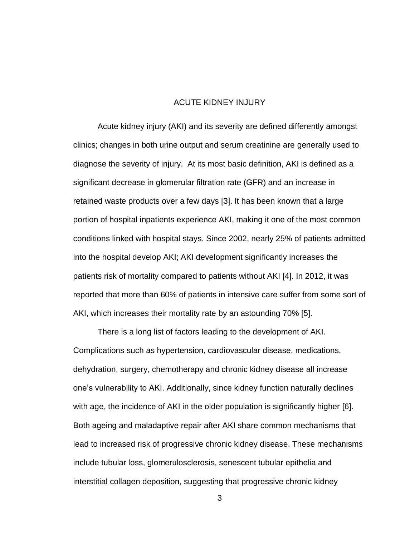#### ACUTE KIDNEY INJURY

Acute kidney injury (AKI) and its severity are defined differently amongst clinics; changes in both urine output and serum creatinine are generally used to diagnose the severity of injury. At its most basic definition, AKI is defined as a significant decrease in glomerular filtration rate (GFR) and an increase in retained waste products over a few days [3]. It has been known that a large portion of hospital inpatients experience AKI, making it one of the most common conditions linked with hospital stays. Since 2002, nearly 25% of patients admitted into the hospital develop AKI; AKI development significantly increases the patients risk of mortality compared to patients without AKI [4]. In 2012, it was reported that more than 60% of patients in intensive care suffer from some sort of AKI, which increases their mortality rate by an astounding 70% [5].

There is a long list of factors leading to the development of AKI. Complications such as hypertension, cardiovascular disease, medications, dehydration, surgery, chemotherapy and chronic kidney disease all increase one's vulnerability to AKI. Additionally, since kidney function naturally declines with age, the incidence of AKI in the older population is significantly higher [6]. Both ageing and maladaptive repair after AKI share common mechanisms that lead to increased risk of progressive chronic kidney disease. These mechanisms include tubular loss, glomerulosclerosis, senescent tubular epithelia and interstitial collagen deposition, suggesting that progressive chronic kidney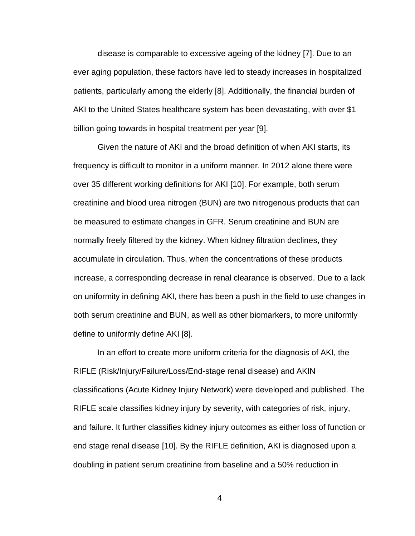disease is comparable to excessive ageing of the kidney [7]. Due to an ever aging population, these factors have led to steady increases in hospitalized patients, particularly among the elderly [8]. Additionally, the financial burden of AKI to the United States healthcare system has been devastating, with over \$1 billion going towards in hospital treatment per year [9].

Given the nature of AKI and the broad definition of when AKI starts, its frequency is difficult to monitor in a uniform manner. In 2012 alone there were over 35 different working definitions for AKI [10]. For example, both serum creatinine and blood urea nitrogen (BUN) are two nitrogenous products that can be measured to estimate changes in GFR. Serum creatinine and BUN are normally freely filtered by the kidney. When kidney filtration declines, they accumulate in circulation. Thus, when the concentrations of these products increase, a corresponding decrease in renal clearance is observed. Due to a lack on uniformity in defining AKI, there has been a push in the field to use changes in both serum creatinine and BUN, as well as other biomarkers, to more uniformly define to uniformly define AKI [8].

In an effort to create more uniform criteria for the diagnosis of AKI, the RIFLE (Risk/Injury/Failure/Loss/End-stage renal disease) and AKIN classifications (Acute Kidney Injury Network) were developed and published. The RIFLE scale classifies kidney injury by severity, with categories of risk, injury, and failure. It further classifies kidney injury outcomes as either loss of function or end stage renal disease [10]. By the RIFLE definition, AKI is diagnosed upon a doubling in patient serum creatinine from baseline and a 50% reduction in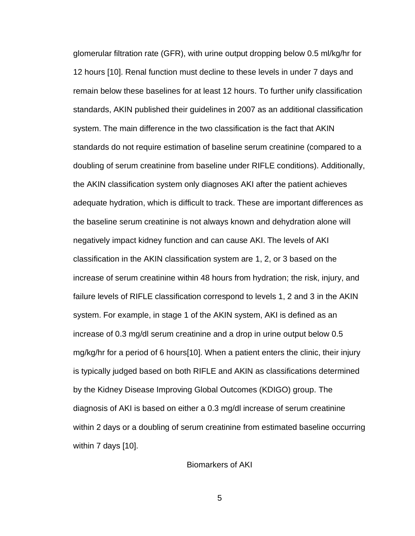glomerular filtration rate (GFR), with urine output dropping below 0.5 ml/kg/hr for 12 hours [10]. Renal function must decline to these levels in under 7 days and remain below these baselines for at least 12 hours. To further unify classification standards, AKIN published their guidelines in 2007 as an additional classification system. The main difference in the two classification is the fact that AKIN standards do not require estimation of baseline serum creatinine (compared to a doubling of serum creatinine from baseline under RIFLE conditions). Additionally, the AKIN classification system only diagnoses AKI after the patient achieves adequate hydration, which is difficult to track. These are important differences as the baseline serum creatinine is not always known and dehydration alone will negatively impact kidney function and can cause AKI. The levels of AKI classification in the AKIN classification system are 1, 2, or 3 based on the increase of serum creatinine within 48 hours from hydration; the risk, injury, and failure levels of RIFLE classification correspond to levels 1, 2 and 3 in the AKIN system. For example, in stage 1 of the AKIN system, AKI is defined as an increase of 0.3 mg/dl serum creatinine and a drop in urine output below 0.5 mg/kg/hr for a period of 6 hours[10]. When a patient enters the clinic, their injury is typically judged based on both RIFLE and AKIN as classifications determined by the Kidney Disease Improving Global Outcomes (KDIGO) group. The diagnosis of AKI is based on either a 0.3 mg/dl increase of serum creatinine within 2 days or a doubling of serum creatinine from estimated baseline occurring within 7 days [10].

Biomarkers of AKI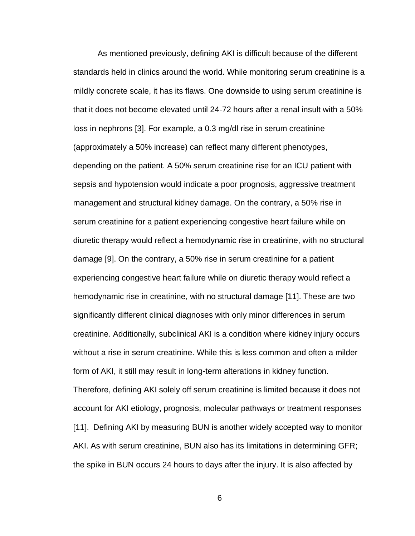As mentioned previously, defining AKI is difficult because of the different standards held in clinics around the world. While monitoring serum creatinine is a mildly concrete scale, it has its flaws. One downside to using serum creatinine is that it does not become elevated until 24-72 hours after a renal insult with a 50% loss in nephrons [3]. For example, a 0.3 mg/dl rise in serum creatinine (approximately a 50% increase) can reflect many different phenotypes, depending on the patient. A 50% serum creatinine rise for an ICU patient with sepsis and hypotension would indicate a poor prognosis, aggressive treatment management and structural kidney damage. On the contrary, a 50% rise in serum creatinine for a patient experiencing congestive heart failure while on diuretic therapy would reflect a hemodynamic rise in creatinine, with no structural damage [9]. On the contrary, a 50% rise in serum creatinine for a patient experiencing congestive heart failure while on diuretic therapy would reflect a hemodynamic rise in creatinine, with no structural damage [11]. These are two significantly different clinical diagnoses with only minor differences in serum creatinine. Additionally, subclinical AKI is a condition where kidney injury occurs without a rise in serum creatinine. While this is less common and often a milder form of AKI, it still may result in long-term alterations in kidney function. Therefore, defining AKI solely off serum creatinine is limited because it does not account for AKI etiology, prognosis, molecular pathways or treatment responses [11]. Defining AKI by measuring BUN is another widely accepted way to monitor AKI. As with serum creatinine, BUN also has its limitations in determining GFR; the spike in BUN occurs 24 hours to days after the injury. It is also affected by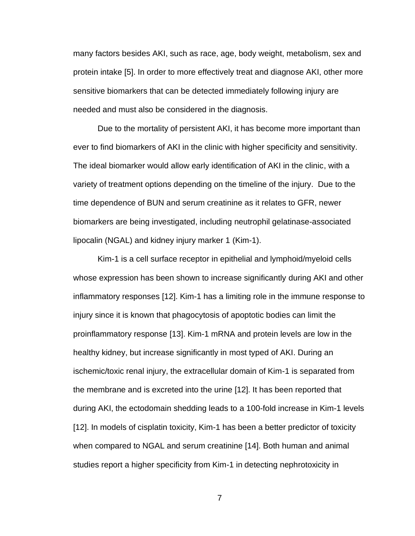many factors besides AKI, such as race, age, body weight, metabolism, sex and protein intake [5]. In order to more effectively treat and diagnose AKI, other more sensitive biomarkers that can be detected immediately following injury are needed and must also be considered in the diagnosis.

Due to the mortality of persistent AKI, it has become more important than ever to find biomarkers of AKI in the clinic with higher specificity and sensitivity. The ideal biomarker would allow early identification of AKI in the clinic, with a variety of treatment options depending on the timeline of the injury. Due to the time dependence of BUN and serum creatinine as it relates to GFR, newer biomarkers are being investigated, including neutrophil gelatinase-associated lipocalin (NGAL) and kidney injury marker 1 (Kim-1).

Kim-1 is a cell surface receptor in epithelial and lymphoid/myeloid cells whose expression has been shown to increase significantly during AKI and other inflammatory responses [12]. Kim-1 has a limiting role in the immune response to injury since it is known that phagocytosis of apoptotic bodies can limit the proinflammatory response [13]. Kim-1 mRNA and protein levels are low in the healthy kidney, but increase significantly in most typed of AKI. During an ischemic/toxic renal injury, the extracellular domain of Kim-1 is separated from the membrane and is excreted into the urine [12]. It has been reported that during AKI, the ectodomain shedding leads to a 100-fold increase in Kim-1 levels [12]. In models of cisplatin toxicity, Kim-1 has been a better predictor of toxicity when compared to NGAL and serum creatinine [14]. Both human and animal studies report a higher specificity from Kim-1 in detecting nephrotoxicity in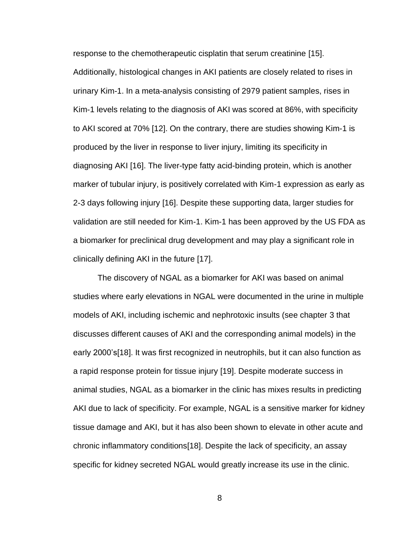response to the chemotherapeutic cisplatin that serum creatinine [15]. Additionally, histological changes in AKI patients are closely related to rises in urinary Kim-1. In a meta-analysis consisting of 2979 patient samples, rises in Kim-1 levels relating to the diagnosis of AKI was scored at 86%, with specificity to AKI scored at 70% [12]. On the contrary, there are studies showing Kim-1 is produced by the liver in response to liver injury, limiting its specificity in diagnosing AKI [16]. The liver-type fatty acid-binding protein, which is another marker of tubular injury, is positively correlated with Kim-1 expression as early as 2-3 days following injury [16]. Despite these supporting data, larger studies for validation are still needed for Kim-1. Kim-1 has been approved by the US FDA as a biomarker for preclinical drug development and may play a significant role in clinically defining AKI in the future [17].

The discovery of NGAL as a biomarker for AKI was based on animal studies where early elevations in NGAL were documented in the urine in multiple models of AKI, including ischemic and nephrotoxic insults (see chapter 3 that discusses different causes of AKI and the corresponding animal models) in the early 2000's[18]. It was first recognized in neutrophils, but it can also function as a rapid response protein for tissue injury [19]. Despite moderate success in animal studies, NGAL as a biomarker in the clinic has mixes results in predicting AKI due to lack of specificity. For example, NGAL is a sensitive marker for kidney tissue damage and AKI, but it has also been shown to elevate in other acute and chronic inflammatory conditions[18]. Despite the lack of specificity, an assay specific for kidney secreted NGAL would greatly increase its use in the clinic.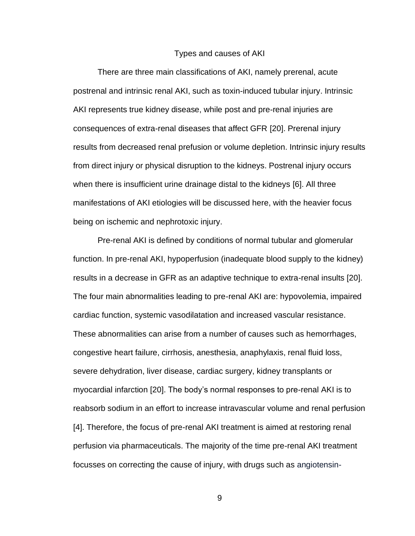#### Types and causes of AKI

There are three main classifications of AKI, namely prerenal, acute postrenal and intrinsic renal AKI, such as toxin-induced tubular injury. Intrinsic AKI represents true kidney disease, while post and pre-renal injuries are consequences of extra-renal diseases that affect GFR [20]. Prerenal injury results from decreased renal prefusion or volume depletion. Intrinsic injury results from direct injury or physical disruption to the kidneys. Postrenal injury occurs when there is insufficient urine drainage distal to the kidneys [6]. All three manifestations of AKI etiologies will be discussed here, with the heavier focus being on ischemic and nephrotoxic injury.

Pre-renal AKI is defined by conditions of normal tubular and glomerular function. In pre-renal AKI, hypoperfusion (inadequate blood supply to the kidney) results in a decrease in GFR as an adaptive technique to extra-renal insults [20]. The four main abnormalities leading to pre-renal AKI are: hypovolemia, impaired cardiac function, systemic vasodilatation and increased vascular resistance. These abnormalities can arise from a number of causes such as hemorrhages, congestive heart failure, cirrhosis, anesthesia, anaphylaxis, renal fluid loss, severe dehydration, liver disease, cardiac surgery, kidney transplants or myocardial infarction [20]. The body's normal responses to pre-renal AKI is to reabsorb sodium in an effort to increase intravascular volume and renal perfusion [4]. Therefore, the focus of pre-renal AKI treatment is aimed at restoring renal perfusion via pharmaceuticals. The majority of the time pre-renal AKI treatment focusses on correcting the cause of injury, with drugs such as angiotensin-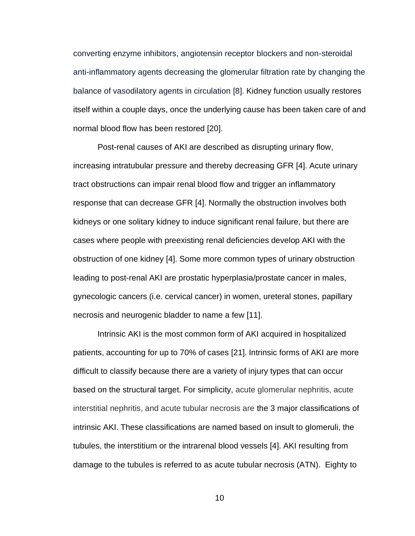converting enzyme inhibitors, angiotensin receptor blockers and non-steroidal anti-inflammatory agents decreasing the glomerular filtration rate by changing the balance of vasodilatory agents in circulation [8]. Kidney function usually restores itself within a couple days, once the underlying cause has been taken care of and normal blood flow has been restored [20].

Post-renal causes of AKI are described as disrupting urinary flow, increasing intratubular pressure and thereby decreasing GFR [4]. Acute urinary tract obstructions can impair renal blood flow and trigger an inflammatory response that can decrease GFR [4]. Normally the obstruction involves both kidneys or one solitary kidney to induce significant renal failure, but there are cases where people with preexisting renal deficiencies develop AKI with the obstruction of one kidney [4]. Some more common types of urinary obstruction leading to post-renal AKI are prostatic hyperplasia/prostate cancer in males, gynecologic cancers (i.e. cervical cancer) in women, ureteral stones, papillary necrosis and neurogenic bladder to name a few [11].

Intrinsic AKI is the most common form of AKI acquired in hospitalized patients, accounting for up to 70% of cases [21]. Intrinsic forms of AKI are more difficult to classify because there are a variety of injury types that can occur based on the structural target. For simplicity, acute glomerular nephritis, acute interstitial nephritis, and acute tubular necrosis are the 3 major classifications of intrinsic AKI. These classifications are named based on insult to glomeruli, the tubules, the interstitium or the intrarenal blood vessels [4]. AKI resulting from damage to the tubules is referred to as acute tubular necrosis (ATN). Eighty to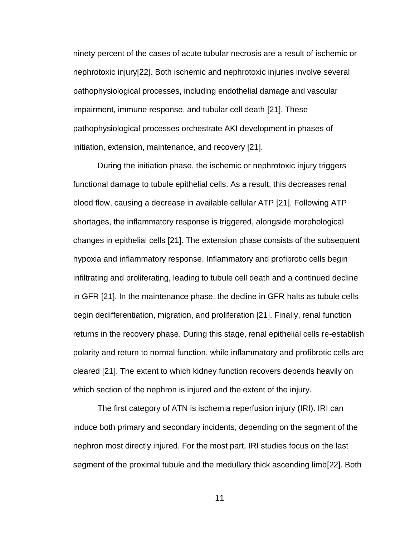ninety percent of the cases of acute tubular necrosis are a result of ischemic or nephrotoxic injury[22]. Both ischemic and nephrotoxic injuries involve several pathophysiological processes, including endothelial damage and vascular impairment, immune response, and tubular cell death [21]. These pathophysiological processes orchestrate AKI development in phases of initiation, extension, maintenance, and recovery [21].

During the initiation phase, the ischemic or nephrotoxic injury triggers functional damage to tubule epithelial cells. As a result, this decreases renal blood flow, causing a decrease in available cellular ATP [21]. Following ATP shortages, the inflammatory response is triggered, alongside morphological changes in epithelial cells [21]. The extension phase consists of the subsequent hypoxia and inflammatory response. Inflammatory and profibrotic cells begin infiltrating and proliferating, leading to tubule cell death and a continued decline in GFR [21]. In the maintenance phase, the decline in GFR halts as tubule cells begin dedifferentiation, migration, and proliferation [21]. Finally, renal function returns in the recovery phase. During this stage, renal epithelial cells re-establish polarity and return to normal function, while inflammatory and profibrotic cells are cleared [21]. The extent to which kidney function recovers depends heavily on which section of the nephron is injured and the extent of the injury.

The first category of ATN is ischemia reperfusion injury (IRI). IRI can induce both primary and secondary incidents, depending on the segment of the nephron most directly injured. For the most part, IRI studies focus on the last segment of the proximal tubule and the medullary thick ascending limb[22]. Both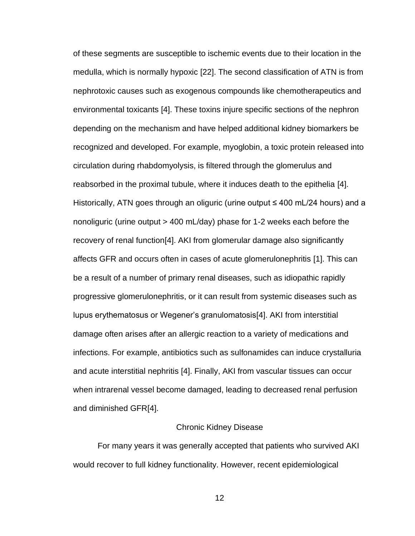of these segments are susceptible to ischemic events due to their location in the medulla, which is normally hypoxic [22]. The second classification of ATN is from nephrotoxic causes such as exogenous compounds like chemotherapeutics and environmental toxicants [4]. These toxins injure specific sections of the nephron depending on the mechanism and have helped additional kidney biomarkers be recognized and developed. For example, myoglobin, a toxic protein released into circulation during rhabdomyolysis, is filtered through the glomerulus and reabsorbed in the proximal tubule, where it induces death to the epithelia [4]. Historically, ATN goes through an oliguric (urine output ≤ 400 mL/24 hours) and a nonoliguric (urine output > 400 mL/day) phase for 1-2 weeks each before the recovery of renal function[4]. AKI from glomerular damage also significantly affects GFR and occurs often in cases of acute glomerulonephritis [1]. This can be a result of a number of primary renal diseases, such as idiopathic rapidly progressive glomerulonephritis, or it can result from systemic diseases such as lupus erythematosus or Wegener's granulomatosis[4]. AKI from interstitial damage often arises after an allergic reaction to a variety of medications and infections. For example, antibiotics such as sulfonamides can induce crystalluria and acute interstitial nephritis [4]. Finally, AKI from vascular tissues can occur when intrarenal vessel become damaged, leading to decreased renal perfusion and diminished GFR[4].

#### Chronic Kidney Disease

For many years it was generally accepted that patients who survived AKI would recover to full kidney functionality. However, recent epidemiological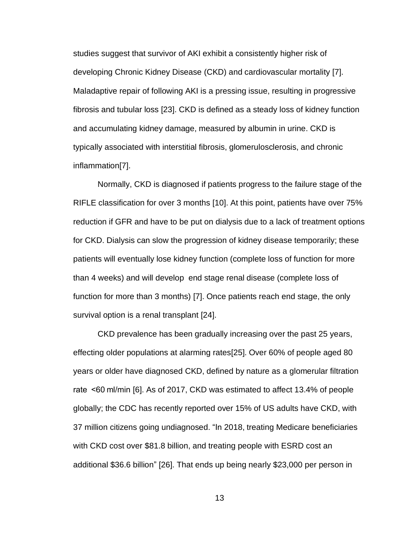studies suggest that survivor of AKI exhibit a consistently higher risk of developing Chronic Kidney Disease (CKD) and cardiovascular mortality [7]. Maladaptive repair of following AKI is a pressing issue, resulting in progressive fibrosis and tubular loss [23]. CKD is defined as a steady loss of kidney function and accumulating kidney damage, measured by albumin in urine. CKD is typically associated with interstitial fibrosis, glomerulosclerosis, and chronic inflammation[7].

Normally, CKD is diagnosed if patients progress to the failure stage of the RIFLE classification for over 3 months [10]. At this point, patients have over 75% reduction if GFR and have to be put on dialysis due to a lack of treatment options for CKD. Dialysis can slow the progression of kidney disease temporarily; these patients will eventually lose kidney function (complete loss of function for more than 4 weeks) and will develop end stage renal disease (complete loss of function for more than 3 months) [7]. Once patients reach end stage, the only survival option is a renal transplant [24].

CKD prevalence has been gradually increasing over the past 25 years, effecting older populations at alarming rates[25]. Over 60% of people aged 80 years or older have diagnosed CKD, defined by nature as a glomerular filtration rate  <60 ml/min [6]. As of 2017, CKD was estimated to affect 13.4% of people globally; the CDC has recently reported over 15% of US adults have CKD, with 37 million citizens going undiagnosed. "In 2018, treating Medicare beneficiaries with CKD cost over \$81.8 billion, and treating people with ESRD cost an additional \$36.6 billion" [26]. That ends up being nearly \$23,000 per person in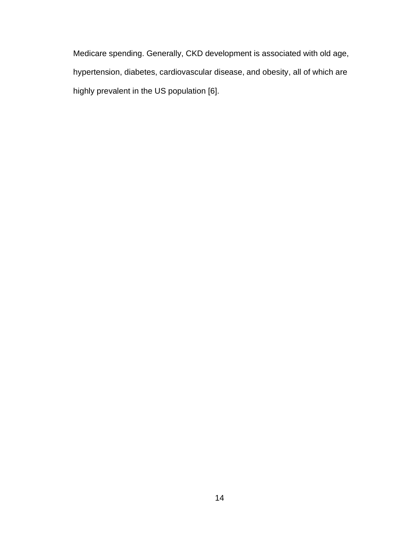Medicare spending. Generally, CKD development is associated with old age, hypertension, diabetes, cardiovascular disease, and obesity, all of which are highly prevalent in the US population [6].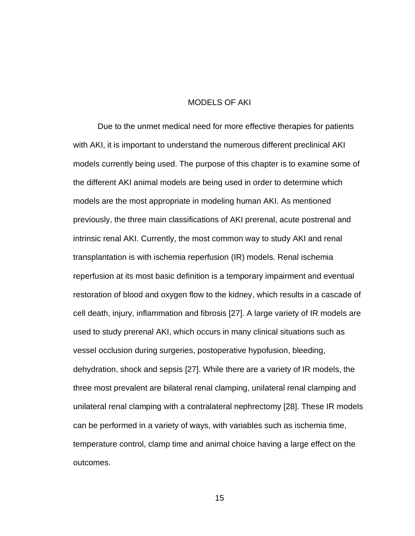#### MODELS OF AKI

Due to the unmet medical need for more effective therapies for patients with AKI, it is important to understand the numerous different preclinical AKI models currently being used. The purpose of this chapter is to examine some of the different AKI animal models are being used in order to determine which models are the most appropriate in modeling human AKI. As mentioned previously, the three main classifications of AKI prerenal, acute postrenal and intrinsic renal AKI. Currently, the most common way to study AKI and renal transplantation is with ischemia reperfusion (IR) models. Renal ischemia reperfusion at its most basic definition is a temporary impairment and eventual restoration of blood and oxygen flow to the kidney, which results in a cascade of cell death, injury, inflammation and fibrosis [27]. A large variety of IR models are used to study prerenal AKI, which occurs in many clinical situations such as vessel occlusion during surgeries, postoperative hypofusion, bleeding, dehydration, shock and sepsis [27]. While there are a variety of IR models, the three most prevalent are bilateral renal clamping, unilateral renal clamping and unilateral renal clamping with a contralateral nephrectomy [28]. These IR models can be performed in a variety of ways, with variables such as ischemia time, temperature control, clamp time and animal choice having a large effect on the outcomes.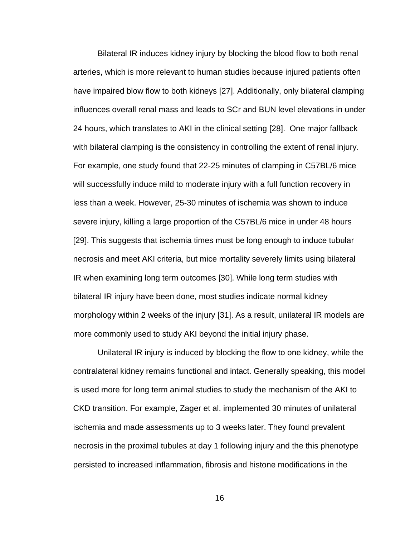Bilateral IR induces kidney injury by blocking the blood flow to both renal arteries, which is more relevant to human studies because injured patients often have impaired blow flow to both kidneys [27]. Additionally, only bilateral clamping influences overall renal mass and leads to SCr and BUN level elevations in under 24 hours, which translates to AKI in the clinical setting [28]. One major fallback with bilateral clamping is the consistency in controlling the extent of renal injury. For example, one study found that 22-25 minutes of clamping in C57BL/6 mice will successfully induce mild to moderate injury with a full function recovery in less than a week. However, 25-30 minutes of ischemia was shown to induce severe injury, killing a large proportion of the C57BL/6 mice in under 48 hours [29]. This suggests that ischemia times must be long enough to induce tubular necrosis and meet AKI criteria, but mice mortality severely limits using bilateral IR when examining long term outcomes [30]. While long term studies with bilateral IR injury have been done, most studies indicate normal kidney morphology within 2 weeks of the injury [31]. As a result, unilateral IR models are more commonly used to study AKI beyond the initial injury phase.

Unilateral IR injury is induced by blocking the flow to one kidney, while the contralateral kidney remains functional and intact. Generally speaking, this model is used more for long term animal studies to study the mechanism of the AKI to CKD transition. For example, Zager et al. implemented 30 minutes of unilateral ischemia and made assessments up to 3 weeks later. They found prevalent necrosis in the proximal tubules at day 1 following injury and the this phenotype persisted to increased inflammation, fibrosis and histone modifications in the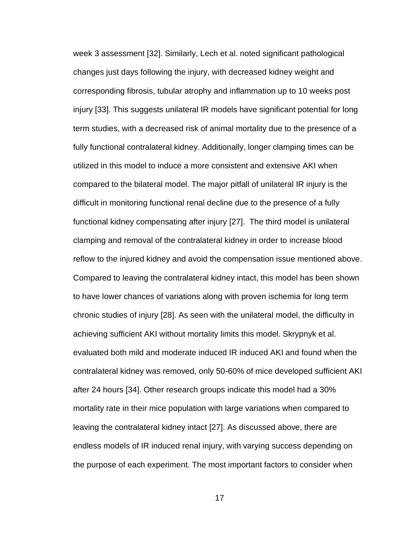week 3 assessment [32]. Similarly, Lech et al. noted significant pathological changes just days following the injury, with decreased kidney weight and corresponding fibrosis, tubular atrophy and inflammation up to 10 weeks post injury [33]. This suggests unilateral IR models have significant potential for long term studies, with a decreased risk of animal mortality due to the presence of a fully functional contralateral kidney. Additionally, longer clamping times can be utilized in this model to induce a more consistent and extensive AKI when compared to the bilateral model. The major pitfall of unilateral IR injury is the difficult in monitoring functional renal decline due to the presence of a fully functional kidney compensating after injury [27]. The third model is unilateral clamping and removal of the contralateral kidney in order to increase blood reflow to the injured kidney and avoid the compensation issue mentioned above. Compared to leaving the contralateral kidney intact, this model has been shown to have lower chances of variations along with proven ischemia for long term chronic studies of injury [28]. As seen with the unilateral model, the difficulty in achieving sufficient AKI without mortality limits this model. Skrypnyk et al. evaluated both mild and moderate induced IR induced AKI and found when the contralateral kidney was removed, only 50-60% of mice developed sufficient AKI after 24 hours [34]. Other research groups indicate this model had a 30% mortality rate in their mice population with large variations when compared to leaving the contralateral kidney intact [27]. As discussed above, there are endless models of IR induced renal injury, with varying success depending on the purpose of each experiment. The most important factors to consider when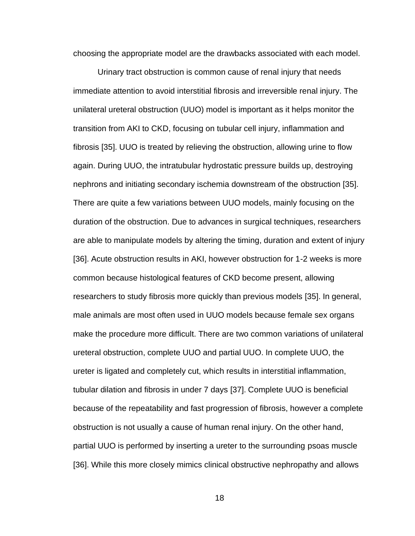choosing the appropriate model are the drawbacks associated with each model.

Urinary tract obstruction is common cause of renal injury that needs immediate attention to avoid interstitial fibrosis and irreversible renal injury. The unilateral ureteral obstruction (UUO) model is important as it helps monitor the transition from AKI to CKD, focusing on tubular cell injury, inflammation and fibrosis [35]. UUO is treated by relieving the obstruction, allowing urine to flow again. During UUO, the intratubular hydrostatic pressure builds up, destroying nephrons and initiating secondary ischemia downstream of the obstruction [35]. There are quite a few variations between UUO models, mainly focusing on the duration of the obstruction. Due to advances in surgical techniques, researchers are able to manipulate models by altering the timing, duration and extent of injury [36]. Acute obstruction results in AKI, however obstruction for 1-2 weeks is more common because histological features of CKD become present, allowing researchers to study fibrosis more quickly than previous models [35]. In general, male animals are most often used in UUO models because female sex organs make the procedure more difficult. There are two common variations of unilateral ureteral obstruction, complete UUO and partial UUO. In complete UUO, the ureter is ligated and completely cut, which results in interstitial inflammation, tubular dilation and fibrosis in under 7 days [37]. Complete UUO is beneficial because of the repeatability and fast progression of fibrosis, however a complete obstruction is not usually a cause of human renal injury. On the other hand, partial UUO is performed by inserting a ureter to the surrounding psoas muscle [36]. While this more closely mimics clinical obstructive nephropathy and allows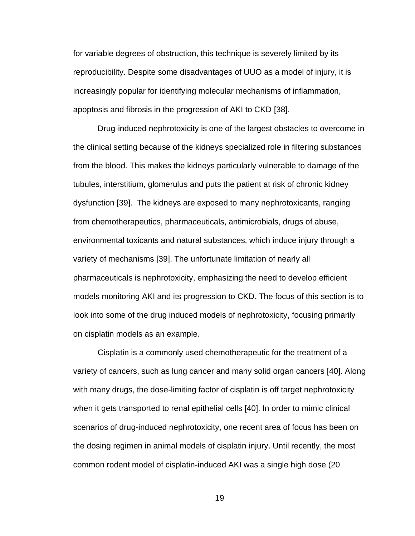for variable degrees of obstruction, this technique is severely limited by its reproducibility. Despite some disadvantages of UUO as a model of injury, it is increasingly popular for identifying molecular mechanisms of inflammation, apoptosis and fibrosis in the progression of AKI to CKD [38].

Drug-induced nephrotoxicity is one of the largest obstacles to overcome in the clinical setting because of the kidneys specialized role in filtering substances from the blood. This makes the kidneys particularly vulnerable to damage of the tubules, interstitium, glomerulus and puts the patient at risk of chronic kidney dysfunction [39]. The kidneys are exposed to many nephrotoxicants, ranging from chemotherapeutics, pharmaceuticals, antimicrobials, drugs of abuse, environmental toxicants and natural substances, which induce injury through a variety of mechanisms [39]. The unfortunate limitation of nearly all pharmaceuticals is nephrotoxicity, emphasizing the need to develop efficient models monitoring AKI and its progression to CKD. The focus of this section is to look into some of the drug induced models of nephrotoxicity, focusing primarily on cisplatin models as an example.

Cisplatin is a commonly used chemotherapeutic for the treatment of a variety of cancers, such as lung cancer and many solid organ cancers [40]. Along with many drugs, the dose-limiting factor of cisplatin is off target nephrotoxicity when it gets transported to renal epithelial cells [40]. In order to mimic clinical scenarios of drug-induced nephrotoxicity, one recent area of focus has been on the dosing regimen in animal models of cisplatin injury. Until recently, the most common rodent model of cisplatin-induced AKI was a single high dose (20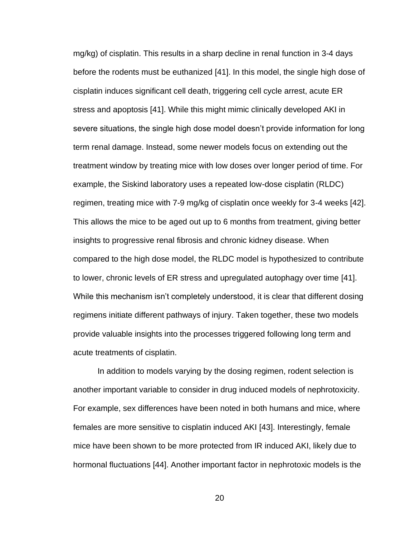mg/kg) of cisplatin. This results in a sharp decline in renal function in 3-4 days before the rodents must be euthanized [41]. In this model, the single high dose of cisplatin induces significant cell death, triggering cell cycle arrest, acute ER stress and apoptosis [41]. While this might mimic clinically developed AKI in severe situations, the single high dose model doesn't provide information for long term renal damage. Instead, some newer models focus on extending out the treatment window by treating mice with low doses over longer period of time. For example, the Siskind laboratory uses a repeated low-dose cisplatin (RLDC) regimen, treating mice with 7-9 mg/kg of cisplatin once weekly for 3-4 weeks [42]. This allows the mice to be aged out up to 6 months from treatment, giving better insights to progressive renal fibrosis and chronic kidney disease. When compared to the high dose model, the RLDC model is hypothesized to contribute to lower, chronic levels of ER stress and upregulated autophagy over time [41]. While this mechanism isn't completely understood, it is clear that different dosing regimens initiate different pathways of injury. Taken together, these two models provide valuable insights into the processes triggered following long term and acute treatments of cisplatin.

In addition to models varying by the dosing regimen, rodent selection is another important variable to consider in drug induced models of nephrotoxicity. For example, sex differences have been noted in both humans and mice, where females are more sensitive to cisplatin induced AKI [43]. Interestingly, female mice have been shown to be more protected from IR induced AKI, likely due to hormonal fluctuations [44]. Another important factor in nephrotoxic models is the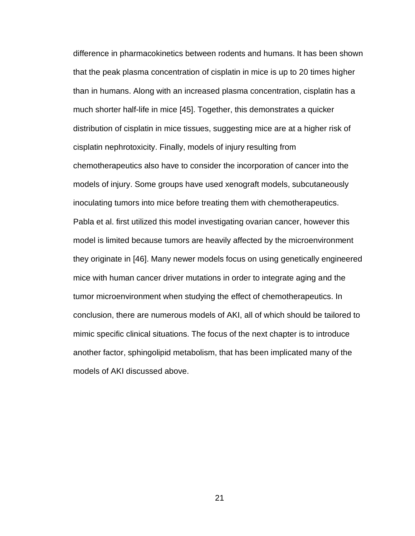difference in pharmacokinetics between rodents and humans. It has been shown that the peak plasma concentration of cisplatin in mice is up to 20 times higher than in humans. Along with an increased plasma concentration, cisplatin has a much shorter half-life in mice [45]. Together, this demonstrates a quicker distribution of cisplatin in mice tissues, suggesting mice are at a higher risk of cisplatin nephrotoxicity. Finally, models of injury resulting from chemotherapeutics also have to consider the incorporation of cancer into the models of injury. Some groups have used xenograft models, subcutaneously inoculating tumors into mice before treating them with chemotherapeutics. Pabla et al. first utilized this model investigating ovarian cancer, however this model is limited because tumors are heavily affected by the microenvironment they originate in [46]. Many newer models focus on using genetically engineered mice with human cancer driver mutations in order to integrate aging and the tumor microenvironment when studying the effect of chemotherapeutics. In conclusion, there are numerous models of AKI, all of which should be tailored to mimic specific clinical situations. The focus of the next chapter is to introduce another factor, sphingolipid metabolism, that has been implicated many of the models of AKI discussed above.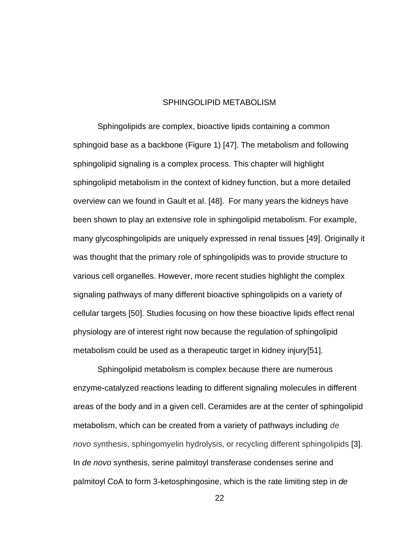#### SPHINGOLIPID METABOLISM

Sphingolipids are complex, bioactive lipids containing a common sphingoid base as a backbone (Figure 1) [47]. The metabolism and following sphingolipid signaling is a complex process. This chapter will highlight sphingolipid metabolism in the context of kidney function, but a more detailed overview can we found in Gault et al. [48]. For many years the kidneys have been shown to play an extensive role in sphingolipid metabolism. For example, many glycosphingolipids are uniquely expressed in renal tissues [49]. Originally it was thought that the primary role of sphingolipids was to provide structure to various cell organelles. However, more recent studies highlight the complex signaling pathways of many different bioactive sphingolipids on a variety of cellular targets [50]. Studies focusing on how these bioactive lipids effect renal physiology are of interest right now because the regulation of sphingolipid metabolism could be used as a therapeutic target in kidney injury[51].

Sphingolipid metabolism is complex because there are numerous enzyme-catalyzed reactions leading to different signaling molecules in different areas of the body and in a given cell. Ceramides are at the center of sphingolipid metabolism, which can be created from a variety of pathways including *de novo* synthesis, sphingomyelin hydrolysis, or recycling different sphingolipids [3]. In *de novo* synthesis, serine palmitoyl transferase condenses serine and palmitoyl CoA to form 3-ketosphingosine, which is the rate limiting step in *de*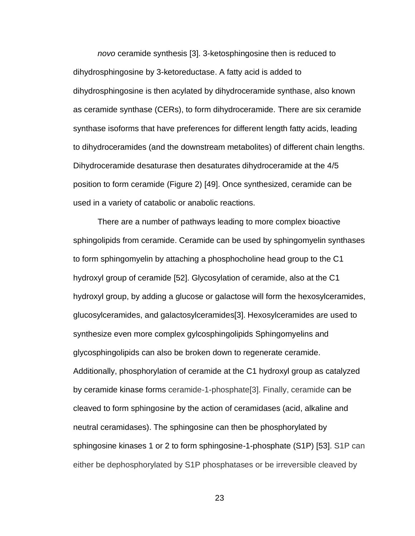*novo* ceramide synthesis [3]. 3-ketosphingosine then is reduced to dihydrosphingosine by 3-ketoreductase. A fatty acid is added to dihydrosphingosine is then acylated by dihydroceramide synthase, also known as ceramide synthase (CERs), to form dihydroceramide. There are six ceramide synthase isoforms that have preferences for different length fatty acids, leading to dihydroceramides (and the downstream metabolites) of different chain lengths. Dihydroceramide desaturase then desaturates dihydroceramide at the 4/5 position to form ceramide (Figure 2) [49]. Once synthesized, ceramide can be used in a variety of catabolic or anabolic reactions.

There are a number of pathways leading to more complex bioactive sphingolipids from ceramide. Ceramide can be used by sphingomyelin synthases to form sphingomyelin by attaching a phosphocholine head group to the C1 hydroxyl group of ceramide [52]. Glycosylation of ceramide, also at the C1 hydroxyl group, by adding a glucose or galactose will form the hexosylceramides, glucosylceramides, and galactosylceramides[3]. Hexosylceramides are used to synthesize even more complex gylcosphingolipids Sphingomyelins and glycosphingolipids can also be broken down to regenerate ceramide. Additionally, phosphorylation of ceramide at the C1 hydroxyl group as catalyzed by ceramide kinase forms ceramide-1-phosphate[3]. Finally, ceramide can be cleaved to form sphingosine by the action of ceramidases (acid, alkaline and neutral ceramidases). The sphingosine can then be phosphorylated by sphingosine kinases 1 or 2 to form sphingosine-1-phosphate (S1P) [53]. S1P can either be dephosphorylated by S1P phosphatases or be irreversible cleaved by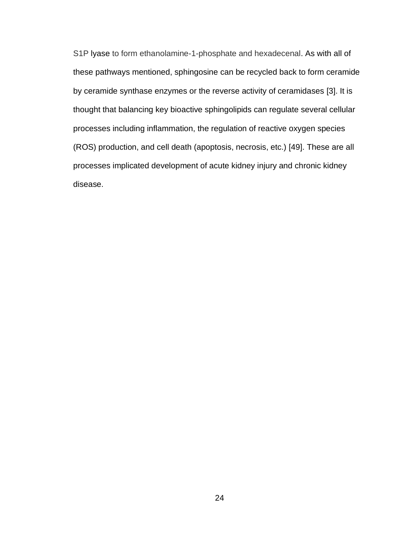S1P lyase to form ethanolamine-1-phosphate and hexadecenal. As with all of these pathways mentioned, sphingosine can be recycled back to form ceramide by ceramide synthase enzymes or the reverse activity of ceramidases [3]. It is thought that balancing key bioactive sphingolipids can regulate several cellular processes including inflammation, the regulation of reactive oxygen species (ROS) production, and cell death (apoptosis, necrosis, etc.) [49]. These are all processes implicated development of acute kidney injury and chronic kidney disease.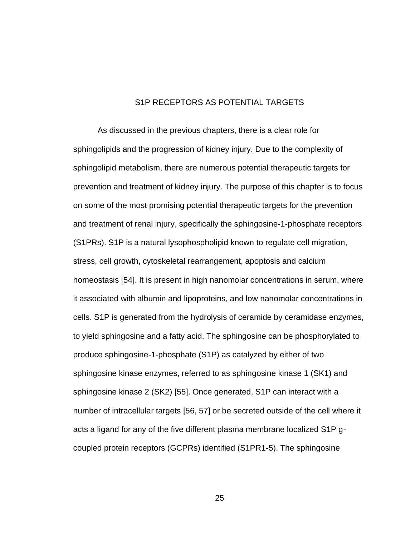#### S1P RECEPTORS AS POTENTIAL TARGETS

As discussed in the previous chapters, there is a clear role for sphingolipids and the progression of kidney injury. Due to the complexity of sphingolipid metabolism, there are numerous potential therapeutic targets for prevention and treatment of kidney injury. The purpose of this chapter is to focus on some of the most promising potential therapeutic targets for the prevention and treatment of renal injury, specifically the sphingosine-1-phosphate receptors (S1PRs). S1P is a natural lysophospholipid known to regulate cell migration, stress, cell growth, cytoskeletal rearrangement, apoptosis and calcium homeostasis [54]. It is present in high nanomolar concentrations in serum, where it associated with albumin and lipoproteins, and low nanomolar concentrations in cells. S1P is generated from the hydrolysis of ceramide by ceramidase enzymes, to yield sphingosine and a fatty acid. The sphingosine can be phosphorylated to produce sphingosine-1-phosphate (S1P) as catalyzed by either of two sphingosine kinase enzymes, referred to as sphingosine kinase 1 (SK1) and sphingosine kinase 2 (SK2) [55]. Once generated, S1P can interact with a number of intracellular targets [56, 57] or be secreted outside of the cell where it acts a ligand for any of the five different plasma membrane localized S1P gcoupled protein receptors (GCPRs) identified (S1PR1-5). The sphingosine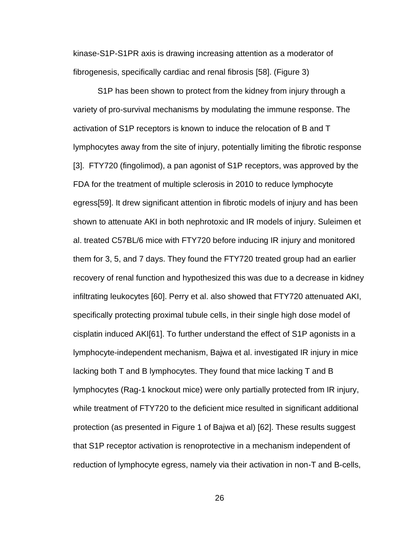kinase-S1P-S1PR axis is drawing increasing attention as a moderator of fibrogenesis, specifically cardiac and renal fibrosis [58]. (Figure 3)

S1P has been shown to protect from the kidney from injury through a variety of pro-survival mechanisms by modulating the immune response. The activation of S1P receptors is known to induce the relocation of B and T lymphocytes away from the site of injury, potentially limiting the fibrotic response [3]. FTY720 (fingolimod), a pan agonist of S1P receptors, was approved by the FDA for the treatment of multiple sclerosis in 2010 to reduce lymphocyte egress[59]. It drew significant attention in fibrotic models of injury and has been shown to attenuate AKI in both nephrotoxic and IR models of injury. Suleimen et al. treated C57BL/6 mice with FTY720 before inducing IR injury and monitored them for 3, 5, and 7 days. They found the FTY720 treated group had an earlier recovery of renal function and hypothesized this was due to a decrease in kidney infiltrating leukocytes [60]. Perry et al. also showed that FTY720 attenuated AKI, specifically protecting proximal tubule cells, in their single high dose model of cisplatin induced AKI[61]. To further understand the effect of S1P agonists in a lymphocyte-independent mechanism, Bajwa et al. investigated IR injury in mice lacking both T and B lymphocytes. They found that mice lacking T and B lymphocytes (Rag-1 knockout mice) were only partially protected from IR injury, while treatment of FTY720 to the deficient mice resulted in significant additional protection (as presented in Figure 1 of Bajwa et al) [62]. These results suggest that S1P receptor activation is renoprotective in a mechanism independent of reduction of lymphocyte egress, namely via their activation in non-T and B-cells,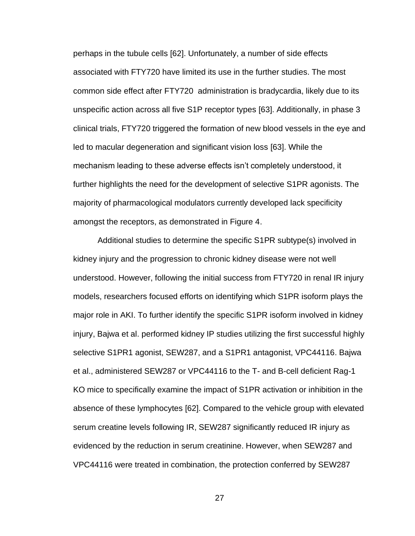perhaps in the tubule cells [62]. Unfortunately, a number of side effects associated with FTY720 have limited its use in the further studies. The most common side effect after FTY720 administration is bradycardia, likely due to its unspecific action across all five S1P receptor types [63]. Additionally, in phase 3 clinical trials, FTY720 triggered the formation of new blood vessels in the eye and led to macular degeneration and significant vision loss [63]. While the mechanism leading to these adverse effects isn't completely understood, it further highlights the need for the development of selective S1PR agonists. The majority of pharmacological modulators currently developed lack specificity amongst the receptors, as demonstrated in Figure 4.

Additional studies to determine the specific S1PR subtype(s) involved in kidney injury and the progression to chronic kidney disease were not well understood. However, following the initial success from FTY720 in renal IR injury models, researchers focused efforts on identifying which S1PR isoform plays the major role in AKI. To further identify the specific S1PR isoform involved in kidney injury, Bajwa et al. performed kidney IP studies utilizing the first successful highly selective S1PR1 agonist, SEW287, and a S1PR1 antagonist, VPC44116. Bajwa et al., administered SEW287 or VPC44116 to the T- and B-cell deficient Rag-1 KO mice to specifically examine the impact of S1PR activation or inhibition in the absence of these lymphocytes [62]. Compared to the vehicle group with elevated serum creatine levels following IR, SEW287 significantly reduced IR injury as evidenced by the reduction in serum creatinine. However, when SEW287 and VPC44116 were treated in combination, the protection conferred by SEW287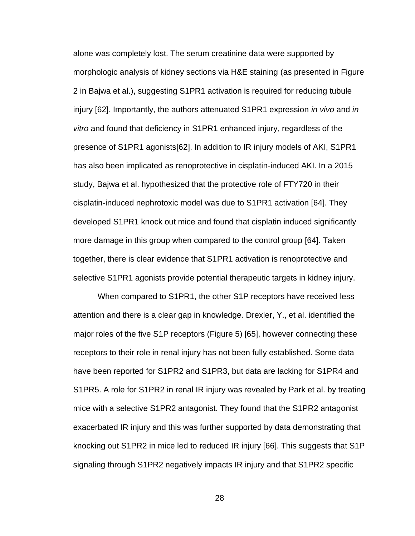alone was completely lost. The serum creatinine data were supported by morphologic analysis of kidney sections via H&E staining (as presented in Figure 2 in Bajwa et al.), suggesting S1PR1 activation is required for reducing tubule injury [62]. Importantly, the authors attenuated S1PR1 expression *in vivo* and *in vitro* and found that deficiency in S1PR1 enhanced injury, regardless of the presence of S1PR1 agonists[62]. In addition to IR injury models of AKI, S1PR1 has also been implicated as renoprotective in cisplatin-induced AKI. In a 2015 study, Bajwa et al. hypothesized that the protective role of FTY720 in their cisplatin-induced nephrotoxic model was due to S1PR1 activation [64]. They developed S1PR1 knock out mice and found that cisplatin induced significantly more damage in this group when compared to the control group [64]. Taken together, there is clear evidence that S1PR1 activation is renoprotective and selective S1PR1 agonists provide potential therapeutic targets in kidney injury.

When compared to S1PR1, the other S1P receptors have received less attention and there is a clear gap in knowledge. Drexler, Y., et al. identified the major roles of the five S1P receptors (Figure 5) [65], however connecting these receptors to their role in renal injury has not been fully established. Some data have been reported for S1PR2 and S1PR3, but data are lacking for S1PR4 and S1PR5. A role for S1PR2 in renal IR injury was revealed by Park et al. by treating mice with a selective S1PR2 antagonist. They found that the S1PR2 antagonist exacerbated IR injury and this was further supported by data demonstrating that knocking out S1PR2 in mice led to reduced IR injury [66]. This suggests that S1P signaling through S1PR2 negatively impacts IR injury and that S1PR2 specific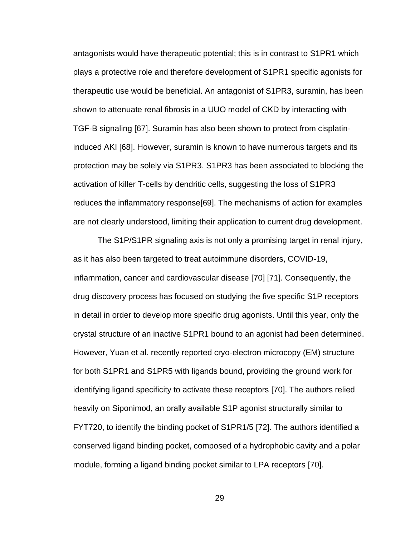antagonists would have therapeutic potential; this is in contrast to S1PR1 which plays a protective role and therefore development of S1PR1 specific agonists for therapeutic use would be beneficial. An antagonist of S1PR3, suramin, has been shown to attenuate renal fibrosis in a UUO model of CKD by interacting with TGF-B signaling [67]. Suramin has also been shown to protect from cisplatininduced AKI [68]. However, suramin is known to have numerous targets and its protection may be solely via S1PR3. S1PR3 has been associated to blocking the activation of killer T-cells by dendritic cells, suggesting the loss of S1PR3 reduces the inflammatory response[69]. The mechanisms of action for examples are not clearly understood, limiting their application to current drug development.

The S1P/S1PR signaling axis is not only a promising target in renal injury, as it has also been targeted to treat autoimmune disorders, COVID-19, inflammation, cancer and cardiovascular disease [70] [71]. Consequently, the drug discovery process has focused on studying the five specific S1P receptors in detail in order to develop more specific drug agonists. Until this year, only the crystal structure of an inactive S1PR1 bound to an agonist had been determined. However, Yuan et al. recently reported cryo-electron microcopy (EM) structure for both S1PR1 and S1PR5 with ligands bound, providing the ground work for identifying ligand specificity to activate these receptors [70]. The authors relied heavily on Siponimod, an orally available S1P agonist structurally similar to FYT720, to identify the binding pocket of S1PR1/5 [72]. The authors identified a conserved ligand binding pocket, composed of a hydrophobic cavity and a polar module, forming a ligand binding pocket similar to LPA receptors [70].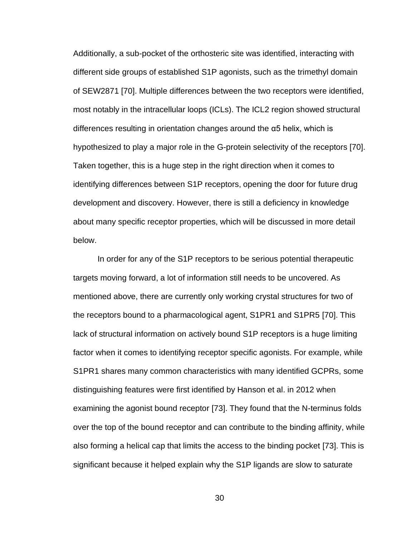Additionally, a sub-pocket of the orthosteric site was identified, interacting with different side groups of established S1P agonists, such as the trimethyl domain of SEW2871 [70]. Multiple differences between the two receptors were identified, most notably in the intracellular loops (ICLs). The ICL2 region showed structural differences resulting in orientation changes around the α5 helix, which is hypothesized to play a major role in the G-protein selectivity of the receptors [70]. Taken together, this is a huge step in the right direction when it comes to identifying differences between S1P receptors, opening the door for future drug development and discovery. However, there is still a deficiency in knowledge about many specific receptor properties, which will be discussed in more detail below.

In order for any of the S1P receptors to be serious potential therapeutic targets moving forward, a lot of information still needs to be uncovered. As mentioned above, there are currently only working crystal structures for two of the receptors bound to a pharmacological agent, S1PR1 and S1PR5 [70]. This lack of structural information on actively bound S1P receptors is a huge limiting factor when it comes to identifying receptor specific agonists. For example, while S1PR1 shares many common characteristics with many identified GCPRs, some distinguishing features were first identified by Hanson et al. in 2012 when examining the agonist bound receptor [73]. They found that the N-terminus folds over the top of the bound receptor and can contribute to the binding affinity, while also forming a helical cap that limits the access to the binding pocket [73]. This is significant because it helped explain why the S1P ligands are slow to saturate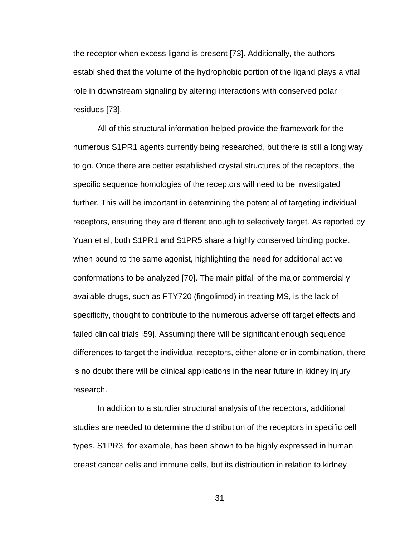the receptor when excess ligand is present [73]. Additionally, the authors established that the volume of the hydrophobic portion of the ligand plays a vital role in downstream signaling by altering interactions with conserved polar residues [73].

All of this structural information helped provide the framework for the numerous S1PR1 agents currently being researched, but there is still a long way to go. Once there are better established crystal structures of the receptors, the specific sequence homologies of the receptors will need to be investigated further. This will be important in determining the potential of targeting individual receptors, ensuring they are different enough to selectively target. As reported by Yuan et al, both S1PR1 and S1PR5 share a highly conserved binding pocket when bound to the same agonist, highlighting the need for additional active conformations to be analyzed [70]. The main pitfall of the major commercially available drugs, such as FTY720 (fingolimod) in treating MS, is the lack of specificity, thought to contribute to the numerous adverse off target effects and failed clinical trials [59]. Assuming there will be significant enough sequence differences to target the individual receptors, either alone or in combination, there is no doubt there will be clinical applications in the near future in kidney injury research.

In addition to a sturdier structural analysis of the receptors, additional studies are needed to determine the distribution of the receptors in specific cell types. S1PR3, for example, has been shown to be highly expressed in human breast cancer cells and immune cells, but its distribution in relation to kidney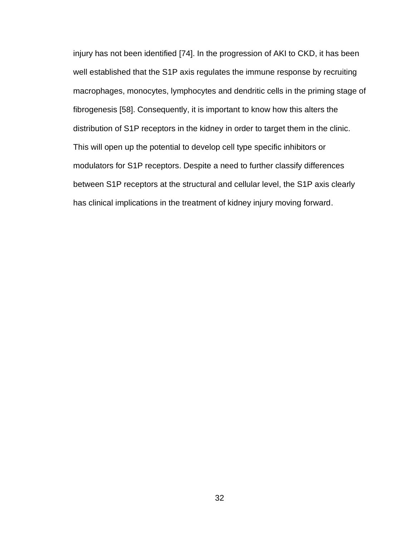injury has not been identified [74]. In the progression of AKI to CKD, it has been well established that the S1P axis regulates the immune response by recruiting macrophages, monocytes, lymphocytes and dendritic cells in the priming stage of fibrogenesis [58]. Consequently, it is important to know how this alters the distribution of S1P receptors in the kidney in order to target them in the clinic. This will open up the potential to develop cell type specific inhibitors or modulators for S1P receptors. Despite a need to further classify differences between S1P receptors at the structural and cellular level, the S1P axis clearly has clinical implications in the treatment of kidney injury moving forward.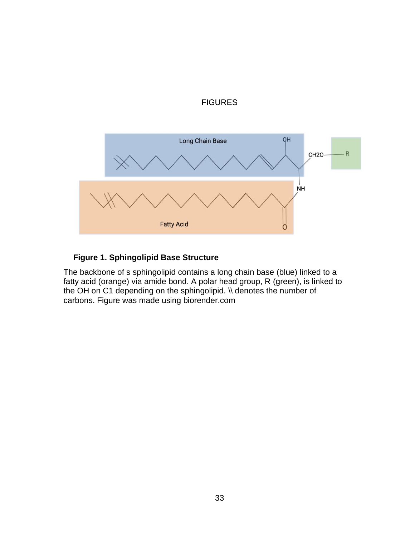



## **Figure 1. Sphingolipid Base Structure**

The backbone of s sphingolipid contains a long chain base (blue) linked to a fatty acid (orange) via amide bond. A polar head group, R (green), is linked to the OH on C1 depending on the sphingolipid. \\ denotes the number of carbons. Figure was made using biorender.com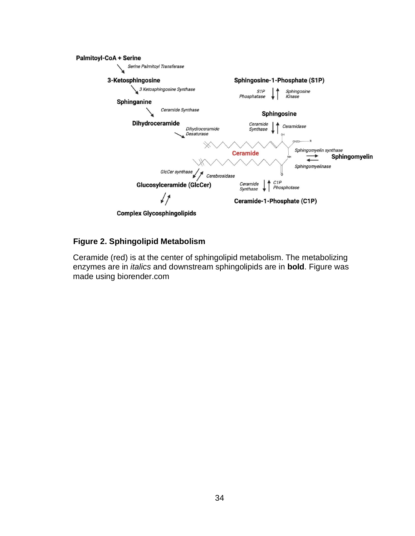

### **Figure 2. Sphingolipid Metabolism**

Ceramide (red) is at the center of sphingolipid metabolism. The metabolizing enzymes are in *italics* and downstream sphingolipids are in **bold**. Figure was made using biorender.com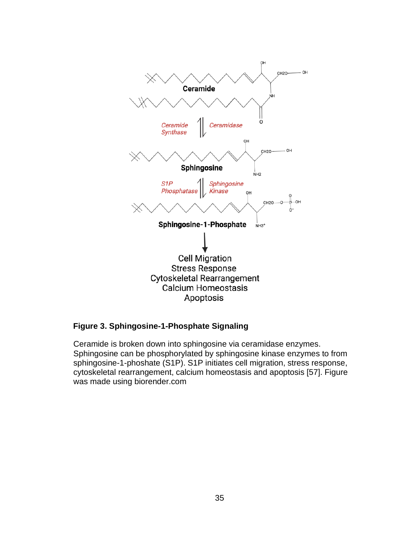

### **Figure 3. Sphingosine-1-Phosphate Signaling**

Ceramide is broken down into sphingosine via ceramidase enzymes. Sphingosine can be phosphorylated by sphingosine kinase enzymes to from sphingosine-1-phoshate (S1P). S1P initiates cell migration, stress response, cytoskeletal rearrangement, calcium homeostasis and apoptosis [57]. Figure was made using biorender.com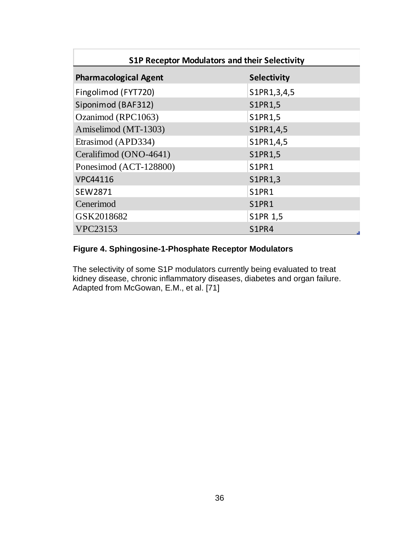| <b>S1P Receptor Modulators and their Selectivity</b> |                    |  |
|------------------------------------------------------|--------------------|--|
| <b>Pharmacological Agent</b>                         | <b>Selectivity</b> |  |
| Fingolimod (FYT720)                                  | S1PR1,3,4,5        |  |
| Siponimod (BAF312)                                   | S1PR1,5            |  |
| Ozanimod (RPC1063)                                   | S1PR1,5            |  |
| Amiselimod (MT-1303)                                 | S1PR1,4,5          |  |
| Etrasimod (APD334)                                   | S1PR1,4,5          |  |
| Ceralifimod (ONO-4641)                               | S1PR1,5            |  |
| Ponesimod (ACT-128800)                               | S1PR1              |  |
| <b>VPC44116</b>                                      | S1PR1,3            |  |
| SEW2871                                              | S1PR1              |  |
| Cenerimod                                            | S1PR1              |  |
| GSK2018682                                           | S1PR 1,5           |  |
| <b>VPC23153</b>                                      | S1PR4              |  |

## **Figure 4. Sphingosine-1-Phosphate Receptor Modulators**

The selectivity of some S1P modulators currently being evaluated to treat kidney disease, chronic inflammatory diseases, diabetes and organ failure. Adapted from McGowan, E.M., et al. [71]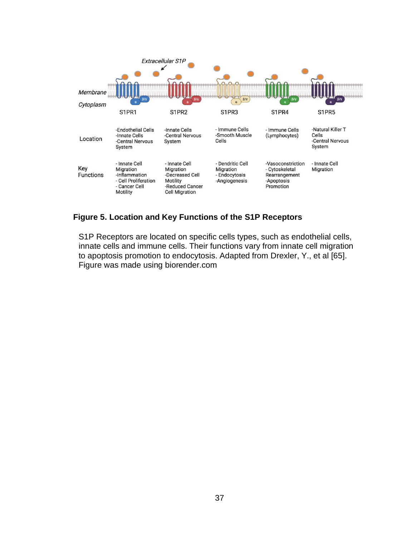

## **Figure 5. Location and Key Functions of the S1P Receptors**

S1P Receptors are located on specific cells types, such as endothelial cells, innate cells and immune cells. Their functions vary from innate cell migration to apoptosis promotion to endocytosis. Adapted from Drexler, Y., et al [65]. Figure was made using biorender.com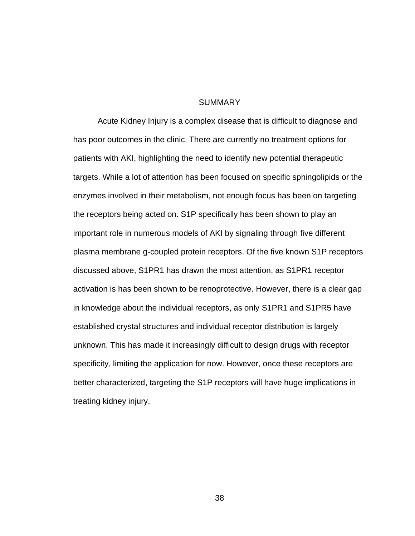#### SUMMARY

Acute Kidney Injury is a complex disease that is difficult to diagnose and has poor outcomes in the clinic. There are currently no treatment options for patients with AKI, highlighting the need to identify new potential therapeutic targets. While a lot of attention has been focused on specific sphingolipids or the enzymes involved in their metabolism, not enough focus has been on targeting the receptors being acted on. S1P specifically has been shown to play an important role in numerous models of AKI by signaling through five different plasma membrane g-coupled protein receptors. Of the five known S1P receptors discussed above, S1PR1 has drawn the most attention, as S1PR1 receptor activation is has been shown to be renoprotective. However, there is a clear gap in knowledge about the individual receptors, as only S1PR1 and S1PR5 have established crystal structures and individual receptor distribution is largely unknown. This has made it increasingly difficult to design drugs with receptor specificity, limiting the application for now. However, once these receptors are better characterized, targeting the S1P receptors will have huge implications in treating kidney injury.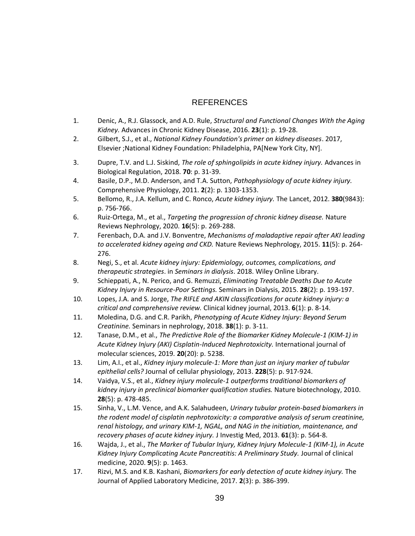## REFERENCES

- 1. Denic, A., R.J. Glassock, and A.D. Rule, *Structural and Functional Changes With the Aging Kidney.* Advances in Chronic Kidney Disease, 2016. **23**(1): p. 19-28.
- 2. Gilbert, S.J., et al., *National Kidney Foundation's primer on kidney diseases*. 2017, Elsevier ;National Kidney Foundation: Philadelphia, PA[New York City, NY].
- 3. Dupre, T.V. and L.J. Siskind, *The role of sphingolipids in acute kidney injury.* Advances in Biological Regulation, 2018. **70**: p. 31-39.
- 4. Basile, D.P., M.D. Anderson, and T.A. Sutton, *Pathophysiology of acute kidney injury.* Comprehensive Physiology, 2011. **2**(2): p. 1303-1353.
- 5. Bellomo, R., J.A. Kellum, and C. Ronco, *Acute kidney injury.* The Lancet, 2012. **380**(9843): p. 756-766.
- 6. Ruiz-Ortega, M., et al., *Targeting the progression of chronic kidney disease.* Nature Reviews Nephrology, 2020. **16**(5): p. 269-288.
- 7. Ferenbach, D.A. and J.V. Bonventre, *Mechanisms of maladaptive repair after AKI leading to accelerated kidney ageing and CKD.* Nature Reviews Nephrology, 2015. **11**(5): p. 264- 276.
- 8. Negi, S., et al. *Acute kidney injury: Epidemiology, outcomes, complications, and therapeutic strategies*. in *Seminars in dialysis*. 2018. Wiley Online Library.
- 9. Schieppati, A., N. Perico, and G. Remuzzi, *Eliminating Treatable Deaths Due to Acute Kidney Injury in Resource-Poor Settings.* Seminars in Dialysis, 2015. **28**(2): p. 193-197.
- 10. Lopes, J.A. and S. Jorge, *The RIFLE and AKIN classifications for acute kidney injury: a critical and comprehensive review.* Clinical kidney journal, 2013. **6**(1): p. 8-14.
- 11. Moledina, D.G. and C.R. Parikh, *Phenotyping of Acute Kidney Injury: Beyond Serum Creatinine.* Seminars in nephrology, 2018. **38**(1): p. 3-11.
- 12. Tanase, D.M., et al., *The Predictive Role of the Biomarker Kidney Molecule-1 (KIM-1) in Acute Kidney Injury (AKI) Cisplatin-Induced Nephrotoxicity.* International journal of molecular sciences, 2019. **20**(20): p. 5238.
- 13. Lim, A.I., et al., *Kidney injury molecule‐1: More than just an injury marker of tubular epithelial cells?* Journal of cellular physiology, 2013. **228**(5): p. 917-924.
- 14. Vaidya, V.S., et al., *Kidney injury molecule-1 outperforms traditional biomarkers of kidney injury in preclinical biomarker qualification studies.* Nature biotechnology, 2010. **28**(5): p. 478-485.
- 15. Sinha, V., L.M. Vence, and A.K. Salahudeen, *Urinary tubular protein-based biomarkers in the rodent model of cisplatin nephrotoxicity: a comparative analysis of serum creatinine, renal histology, and urinary KIM-1, NGAL, and NAG in the initiation, maintenance, and recovery phases of acute kidney injury.* J Investig Med, 2013. **61**(3): p. 564-8.
- 16. Wajda, J., et al., *The Marker of Tubular Injury, Kidney Injury Molecule-1 (KIM-1), in Acute Kidney Injury Complicating Acute Pancreatitis: A Preliminary Study.* Journal of clinical medicine, 2020. **9**(5): p. 1463.
- 17. Rizvi, M.S. and K.B. Kashani, *Biomarkers for early detection of acute kidney injury.* The Journal of Applied Laboratory Medicine, 2017. **2**(3): p. 386-399.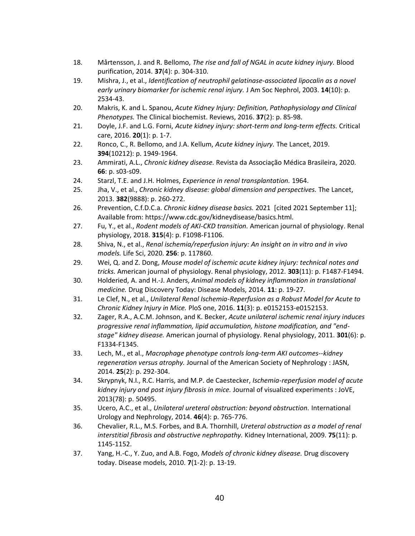- 18. Mårtensson, J. and R. Bellomo, *The rise and fall of NGAL in acute kidney injury.* Blood purification, 2014. **37**(4): p. 304-310.
- 19. Mishra, J., et al., *Identification of neutrophil gelatinase-associated lipocalin as a novel early urinary biomarker for ischemic renal injury.* J Am Soc Nephrol, 2003. **14**(10): p. 2534-43.
- 20. Makris, K. and L. Spanou, *Acute Kidney Injury: Definition, Pathophysiology and Clinical Phenotypes.* The Clinical biochemist. Reviews, 2016. **37**(2): p. 85-98.
- 21. Doyle, J.F. and L.G. Forni, *Acute kidney injury: short-term and long-term effects.* Critical care, 2016. **20**(1): p. 1-7.
- 22. Ronco, C., R. Bellomo, and J.A. Kellum, *Acute kidney injury.* The Lancet, 2019. **394**(10212): p. 1949-1964.
- 23. Ammirati, A.L., *Chronic kidney disease.* Revista da Associação Médica Brasileira, 2020. **66**: p. s03-s09.
- 24. Starzl, T.E. and J.H. Holmes, *Experience in renal transplantation.* 1964.
- 25. Jha, V., et al., *Chronic kidney disease: global dimension and perspectives.* The Lancet, 2013. **382**(9888): p. 260-272.
- 26. Prevention, C.f.D.C.a. *Chronic kidney disease basics.* 2021 [cited 2021 September 11]; Available from: https://www.cdc.gov/kidneydisease/basics.html.
- 27. Fu, Y., et al., *Rodent models of AKI-CKD transition.* American journal of physiology. Renal physiology, 2018. **315**(4): p. F1098-F1106.
- 28. Shiva, N., et al., *Renal ischemia/reperfusion injury: An insight on in vitro and in vivo models.* Life Sci, 2020. **256**: p. 117860.
- 29. Wei, Q. and Z. Dong, *Mouse model of ischemic acute kidney injury: technical notes and tricks.* American journal of physiology. Renal physiology, 2012. **303**(11): p. F1487-F1494.
- 30. Holderied, A. and H.-J. Anders, *Animal models of kidney inflammation in translational medicine.* Drug Discovery Today: Disease Models, 2014. **11**: p. 19-27.
- 31. Le Clef, N., et al., *Unilateral Renal Ischemia-Reperfusion as a Robust Model for Acute to Chronic Kidney Injury in Mice.* PloS one, 2016. **11**(3): p. e0152153-e0152153.
- 32. Zager, R.A., A.C.M. Johnson, and K. Becker, *Acute unilateral ischemic renal injury induces progressive renal inflammation, lipid accumulation, histone modification, and "endstage" kidney disease.* American journal of physiology. Renal physiology, 2011. **301**(6): p. F1334-F1345.
- 33. Lech, M., et al., *Macrophage phenotype controls long-term AKI outcomes--kidney regeneration versus atrophy.* Journal of the American Society of Nephrology : JASN, 2014. **25**(2): p. 292-304.
- 34. Skrypnyk, N.I., R.C. Harris, and M.P. de Caestecker, *Ischemia-reperfusion model of acute kidney injury and post injury fibrosis in mice.* Journal of visualized experiments : JoVE, 2013(78): p. 50495.
- 35. Ucero, A.C., et al., *Unilateral ureteral obstruction: beyond obstruction.* International Urology and Nephrology, 2014. **46**(4): p. 765-776.
- 36. Chevalier, R.L., M.S. Forbes, and B.A. Thornhill, *Ureteral obstruction as a model of renal interstitial fibrosis and obstructive nephropathy.* Kidney International, 2009. **75**(11): p. 1145-1152.
- 37. Yang, H.-C., Y. Zuo, and A.B. Fogo, *Models of chronic kidney disease.* Drug discovery today. Disease models, 2010. **7**(1-2): p. 13-19.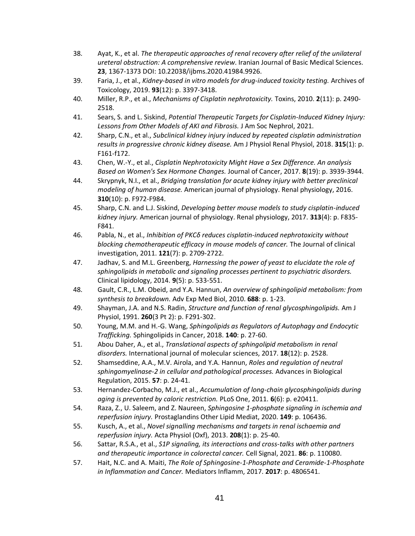- 38. Ayat, K., et al. *The therapeutic approaches of renal recovery after relief of the unilateral ureteral obstruction: A comprehensive review*. Iranian Journal of Basic Medical Sciences. **23**, 1367-1373 DOI: 10.22038/ijbms.2020.41984.9926.
- 39. Faria, J., et al., *Kidney-based in vitro models for drug-induced toxicity testing.* Archives of Toxicology, 2019. **93**(12): p. 3397-3418.
- 40. Miller, R.P., et al., *Mechanisms of Cisplatin nephrotoxicity.* Toxins, 2010. **2**(11): p. 2490- 2518.
- 41. Sears, S. and L. Siskind, *Potential Therapeutic Targets for Cisplatin-Induced Kidney Injury: Lessons from Other Models of AKI and Fibrosis.* J Am Soc Nephrol, 2021.
- 42. Sharp, C.N., et al., *Subclinical kidney injury induced by repeated cisplatin administration results in progressive chronic kidney disease.* Am J Physiol Renal Physiol, 2018. **315**(1): p. F161-f172.
- 43. Chen, W.-Y., et al., *Cisplatin Nephrotoxicity Might Have a Sex Difference. An analysis Based on Women's Sex Hormone Changes.* Journal of Cancer, 2017. **8**(19): p. 3939-3944.
- 44. Skrypnyk, N.I., et al., *Bridging translation for acute kidney injury with better preclinical modeling of human disease.* American journal of physiology. Renal physiology, 2016. **310**(10): p. F972-F984.
- 45. Sharp, C.N. and L.J. Siskind, *Developing better mouse models to study cisplatin-induced kidney injury.* American journal of physiology. Renal physiology, 2017. **313**(4): p. F835- F841.
- 46. Pabla, N., et al., *Inhibition of PKCδ reduces cisplatin-induced nephrotoxicity without blocking chemotherapeutic efficacy in mouse models of cancer.* The Journal of clinical investigation, 2011. **121**(7): p. 2709-2722.
- 47. Jadhav, S. and M.L. Greenberg, *Harnessing the power of yeast to elucidate the role of sphingolipids in metabolic and signaling processes pertinent to psychiatric disorders.* Clinical lipidology, 2014. **9**(5): p. 533-551.
- 48. Gault, C.R., L.M. Obeid, and Y.A. Hannun, *An overview of sphingolipid metabolism: from synthesis to breakdown.* Adv Exp Med Biol, 2010. **688**: p. 1-23.
- 49. Shayman, J.A. and N.S. Radin, *Structure and function of renal glycosphingolipids.* Am J Physiol, 1991. **260**(3 Pt 2): p. F291-302.
- 50. Young, M.M. and H.-G. Wang, *Sphingolipids as Regulators of Autophagy and Endocytic Trafficking.* Sphingolipids in Cancer, 2018. **140**: p. 27-60.
- 51. Abou Daher, A., et al., *Translational aspects of sphingolipid metabolism in renal disorders.* International journal of molecular sciences, 2017. **18**(12): p. 2528.
- 52. Shamseddine, A.A., M.V. Airola, and Y.A. Hannun, *Roles and regulation of neutral sphingomyelinase-2 in cellular and pathological processes.* Advances in Biological Regulation, 2015. **57**: p. 24-41.
- 53. Hernandez-Corbacho, M.J., et al., *Accumulation of long-chain glycosphingolipids during aging is prevented by caloric restriction.* PLoS One, 2011. **6**(6): p. e20411.
- 54. Raza, Z., U. Saleem, and Z. Naureen, *Sphingosine 1-phosphate signaling in ischemia and reperfusion injury.* Prostaglandins Other Lipid Mediat, 2020. **149**: p. 106436.
- 55. Kusch, A., et al., *Novel signalling mechanisms and targets in renal ischaemia and reperfusion injury.* Acta Physiol (Oxf), 2013. **208**(1): p. 25-40.
- 56. Sattar, R.S.A., et al., *S1P signaling, its interactions and cross-talks with other partners and therapeutic importance in colorectal cancer.* Cell Signal, 2021. **86**: p. 110080.
- 57. Hait, N.C. and A. Maiti, *The Role of Sphingosine-1-Phosphate and Ceramide-1-Phosphate in Inflammation and Cancer.* Mediators Inflamm, 2017. **2017**: p. 4806541.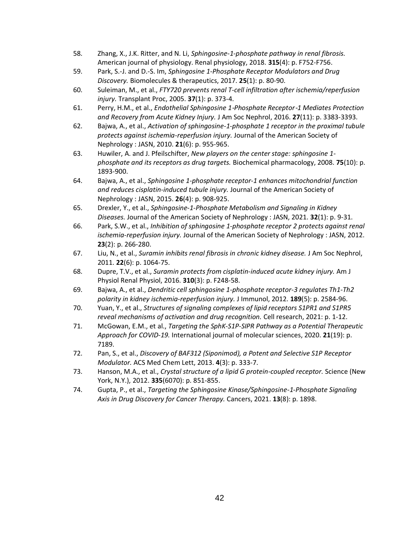- 58. Zhang, X., J.K. Ritter, and N. Li, *Sphingosine-1-phosphate pathway in renal fibrosis.* American journal of physiology. Renal physiology, 2018. **315**(4): p. F752-F756.
- 59. Park, S.-J. and D.-S. Im, *Sphingosine 1-Phosphate Receptor Modulators and Drug Discovery.* Biomolecules & therapeutics, 2017. **25**(1): p. 80-90.
- 60. Suleiman, M., et al., *FTY720 prevents renal T-cell infiltration after ischemia/reperfusion injury.* Transplant Proc, 2005. **37**(1): p. 373-4.
- 61. Perry, H.M., et al., *Endothelial Sphingosine 1*‑*Phosphate Receptor*‑*1 Mediates Protection and Recovery from Acute Kidney Injury.* J Am Soc Nephrol, 2016. **27**(11): p. 3383-3393.
- 62. Bajwa, A., et al., *Activation of sphingosine-1-phosphate 1 receptor in the proximal tubule protects against ischemia-reperfusion injury.* Journal of the American Society of Nephrology : JASN, 2010. **21**(6): p. 955-965.
- 63. Huwiler, A. and J. Pfeilschifter, *New players on the center stage: sphingosine 1 phosphate and its receptors as drug targets.* Biochemical pharmacology, 2008. **75**(10): p. 1893-900.
- 64. Bajwa, A., et al., *Sphingosine 1-phosphate receptor-1 enhances mitochondrial function and reduces cisplatin-induced tubule injury.* Journal of the American Society of Nephrology : JASN, 2015. **26**(4): p. 908-925.
- 65. Drexler, Y., et al., *Sphingosine-1-Phosphate Metabolism and Signaling in Kidney Diseases.* Journal of the American Society of Nephrology : JASN, 2021. **32**(1): p. 9-31.
- 66. Park, S.W., et al., *Inhibition of sphingosine 1-phosphate receptor 2 protects against renal ischemia-reperfusion injury.* Journal of the American Society of Nephrology : JASN, 2012. **23**(2): p. 266-280.
- 67. Liu, N., et al., *Suramin inhibits renal fibrosis in chronic kidney disease.* J Am Soc Nephrol, 2011. **22**(6): p. 1064-75.
- 68. Dupre, T.V., et al., *Suramin protects from cisplatin-induced acute kidney injury.* Am J Physiol Renal Physiol, 2016. **310**(3): p. F248-58.
- 69. Bajwa, A., et al., *Dendritic cell sphingosine 1-phosphate receptor-3 regulates Th1-Th2 polarity in kidney ischemia-reperfusion injury.* J Immunol, 2012. **189**(5): p. 2584-96.
- 70. Yuan, Y., et al., *Structures of signaling complexes of lipid receptors S1PR1 and S1PR5 reveal mechanisms of activation and drug recognition.* Cell research, 2021: p. 1-12.
- 71. McGowan, E.M., et al., *Targeting the SphK-S1P-SIPR Pathway as a Potential Therapeutic Approach for COVID-19.* International journal of molecular sciences, 2020. **21**(19): p. 7189.
- 72. Pan, S., et al., *Discovery of BAF312 (Siponimod), a Potent and Selective S1P Receptor Modulator.* ACS Med Chem Lett, 2013. **4**(3): p. 333-7.
- 73. Hanson, M.A., et al., *Crystal structure of a lipid G protein-coupled receptor.* Science (New York, N.Y.), 2012. **335**(6070): p. 851-855.
- 74. Gupta, P., et al., *Targeting the Sphingosine Kinase/Sphingosine-1-Phosphate Signaling Axis in Drug Discovery for Cancer Therapy.* Cancers, 2021. **13**(8): p. 1898.